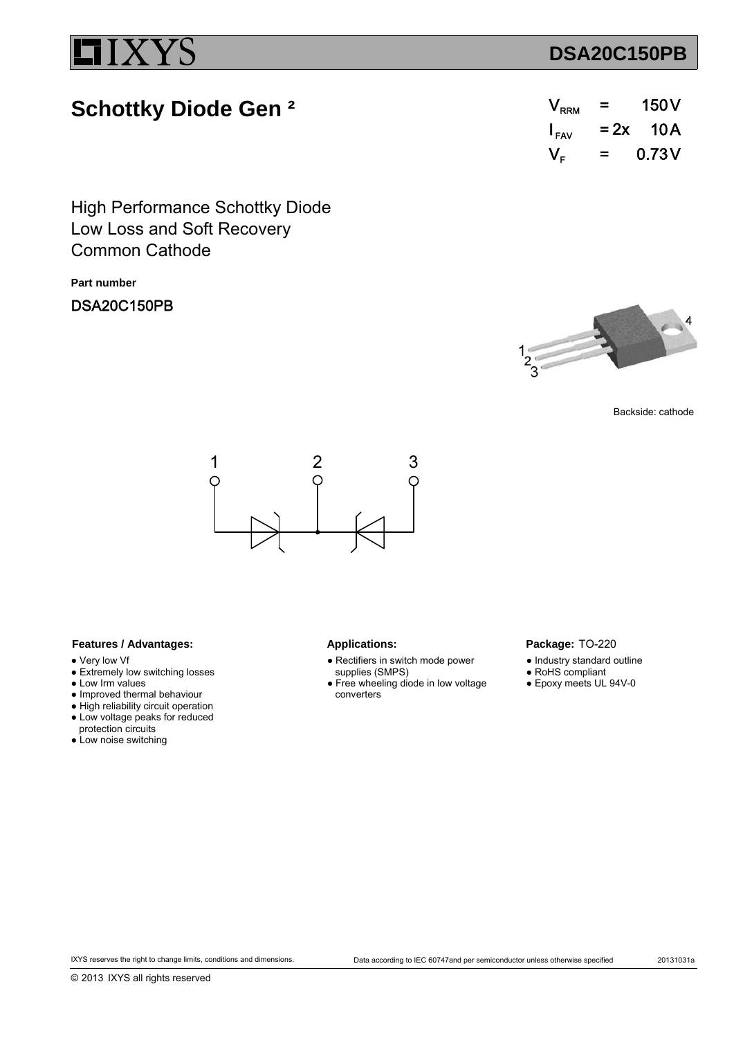## **DSA20C150PB**

# **Schottky Diode Gen ²**

| $\mathsf{V}_{\mathsf{RRM}}$ | =      | 150V   |
|-----------------------------|--------|--------|
| $I_{\text{FAV}}$            | $= 2x$ | - 10 A |
| $\mathsf{V}_{\mathsf{r}}$   | =      | 0.73V  |

Low Loss and Soft Recovery High Performance Schottky Diode Common Cathode

**Part number**

## DSA20C150PB



Backside: cathode



### Features / Advantages: Applications:

- Very low Vf
- Extremely low switching losses
- Low Irm values
- Improved thermal behaviour
- High reliability circuit operation ● Low voltage peaks for reduced
- protection circuits
- Low noise switching

- Rectifiers in switch mode power supplies (SMPS)
- Free wheeling diode in low voltage converters

### Package: TO-220

- Industry standard outline
- RoHS compliant
- Epoxy meets UL 94V-0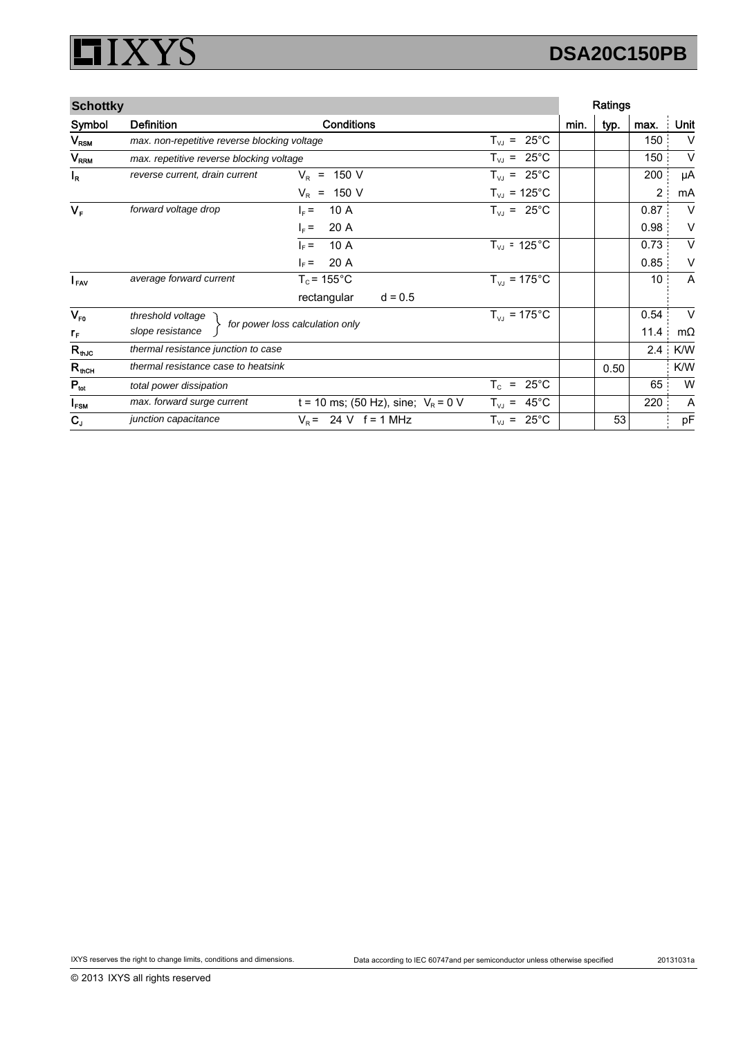### **XYS** I 51

# **DSA20C150PB**

| <b>Schottky</b>  |                                              |                                       |                                                         | Ratings |      |                |           |
|------------------|----------------------------------------------|---------------------------------------|---------------------------------------------------------|---------|------|----------------|-----------|
| Symbol           | <b>Definition</b>                            | <b>Conditions</b>                     |                                                         | min.    | typ. | max.           | Unit      |
| $V_{RSM}$        | max. non-repetitive reverse blocking voltage |                                       | $25^{\circ}$ C<br>$T_{VJ}$ =                            |         |      | 150            | $\vee$    |
| V <sub>RRM</sub> | max. repetitive reverse blocking voltage     |                                       | $T_{VJ}$ = 25°C                                         |         |      | 150            | $\vee$    |
| $I_R$            | reverse current, drain current               | 150 V<br>$V_{\rm P}$<br>$\equiv$      | $T_{VJ}$ = 25°C                                         |         |      | 200            | μA        |
|                  |                                              | $V_R$ = 150 V                         | $T_{VJ}$ = 125°C                                        |         |      | $\overline{2}$ | mA        |
| $V_F$            | forward voltage drop                         | 10A<br>$I_F =$                        | $T_{VJ}$ = 25°C                                         |         |      | 0.87           | V         |
|                  |                                              | 20 A<br>$I_F =$                       |                                                         |         |      | 0.98           | V         |
|                  |                                              | 10A<br>$\vert_{\rm F}$ =              | $T_{VJ}$ = 125 $^{\circ}$ C                             |         |      | 0.73           | V         |
|                  |                                              | 20 A<br>$I_F =$                       |                                                         |         |      | 0.85           | V         |
| $I_{FAV}$        | average forward current                      | $T_c$ = 155 $\degree$ C               | $T_{VJ}$ = 175°C                                        |         |      | 10             | A         |
|                  |                                              | rectangular<br>$d = 0.5$              |                                                         |         |      |                |           |
| $V_{F0}$         | threshold voltage                            |                                       | $T_{VJ}$ = 175°C                                        |         |      | 0.54           | $\vee$    |
| $r_{\rm F}$      | slope resistance                             | for power loss calculation only       |                                                         |         |      | 11.4           | $m\Omega$ |
| $R_{th,IC}$      | thermal resistance junction to case          |                                       |                                                         |         |      | 2.4            | K/W       |
| $R_{thCH}$       | thermal resistance case to heatsink          |                                       |                                                         |         | 0.50 |                | K/W       |
| $P_{\text{tot}}$ | total power dissipation                      |                                       | $\mathsf{T}_{\texttt{c}}$<br>$25^{\circ}$ C<br>$\equiv$ |         |      | 65             | W         |
| I <sub>FSM</sub> | max. forward surge current                   | t = 10 ms; (50 Hz), sine; $V_R$ = 0 V | $45^{\circ}$ C<br>$T_{\vee}$ =                          |         |      | 220            | A         |
| $C_{J}$          | junction capacitance                         | $V_R = 24 V$ f = 1 MHz                | $T_{VJ}$ = 25°C                                         |         | 53   |                | pF        |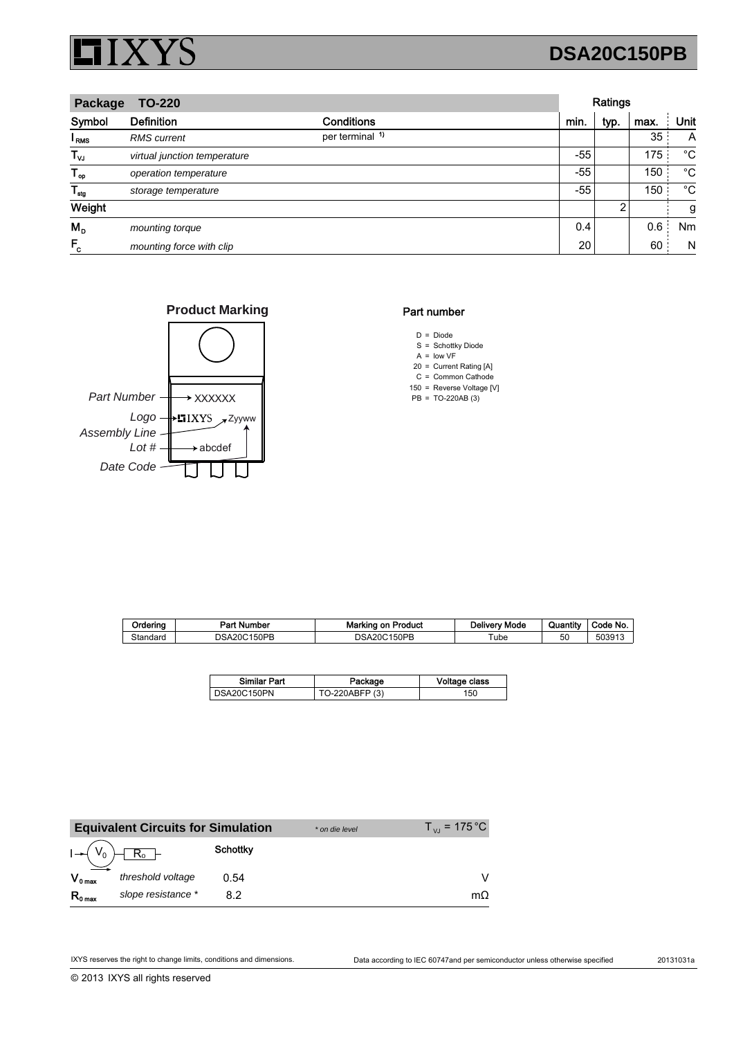

## **DSA20C150PB**

| Package<br><b>TO-220</b> |                              |                            |       | Ratings |      |      |  |
|--------------------------|------------------------------|----------------------------|-------|---------|------|------|--|
| Symbol                   | <b>Definition</b>            | <b>Conditions</b>          | min.  | typ.    | max. | Unit |  |
| l <sub>RMS</sub>         | <b>RMS</b> current           | per terminal <sup>1)</sup> |       |         | 35   | A    |  |
| $T_{\nu J}$              | virtual junction temperature |                            | $-55$ |         | 175  | °C   |  |
| $T_{op}$                 | operation temperature        |                            | $-55$ |         | 150  | °C   |  |
| $T_{\text{stg}}$         | storage temperature          |                            | $-55$ |         | 150  | °C   |  |
| Weight                   |                              |                            |       | 2       |      | g    |  |
| $M_{\rm p}$              | mounting torque              |                            | 0.4   |         | 0.6  | Nm   |  |
| $F_c$                    | mounting force with clip     |                            | 20    |         | 60   | N    |  |





### Part number

- $D = Diode$ S = Schottky Diode
- $A =$  low VF
- 20 Current Rating [A] =
- $C =$  Common Cathode
- 150 = Reverse Voltage [V]  $PB = TO-220AB(3)$

| Ordering | Part Number            | <b>Marking on Product</b> | Deliverv Mode | Quantity | Code No. |
|----------|------------------------|---------------------------|---------------|----------|----------|
| Standard | ን150PB<br>DSA:<br>\20C | 150PB<br>DSA20C           | ube           | 50       | 503913   |

| <b>Similar Part</b> | Package        | Voltage class |
|---------------------|----------------|---------------|
| DSA20C150PN         | TO-220ABFP (3) | 150           |

|                     | <b>Equivalent Circuits for Simulation</b> |                 | * on die level | $T_{V1}$ = 175 °C |
|---------------------|-------------------------------------------|-----------------|----------------|-------------------|
| $I \rightarrow V_0$ | $R_0$ -                                   | <b>Schottky</b> |                |                   |
| $V_{0 \text{ max}}$ | threshold voltage                         | 0.54            |                |                   |
| $R_{0 \text{ max}}$ | slope resistance *                        | 82              |                | $m\Omega$         |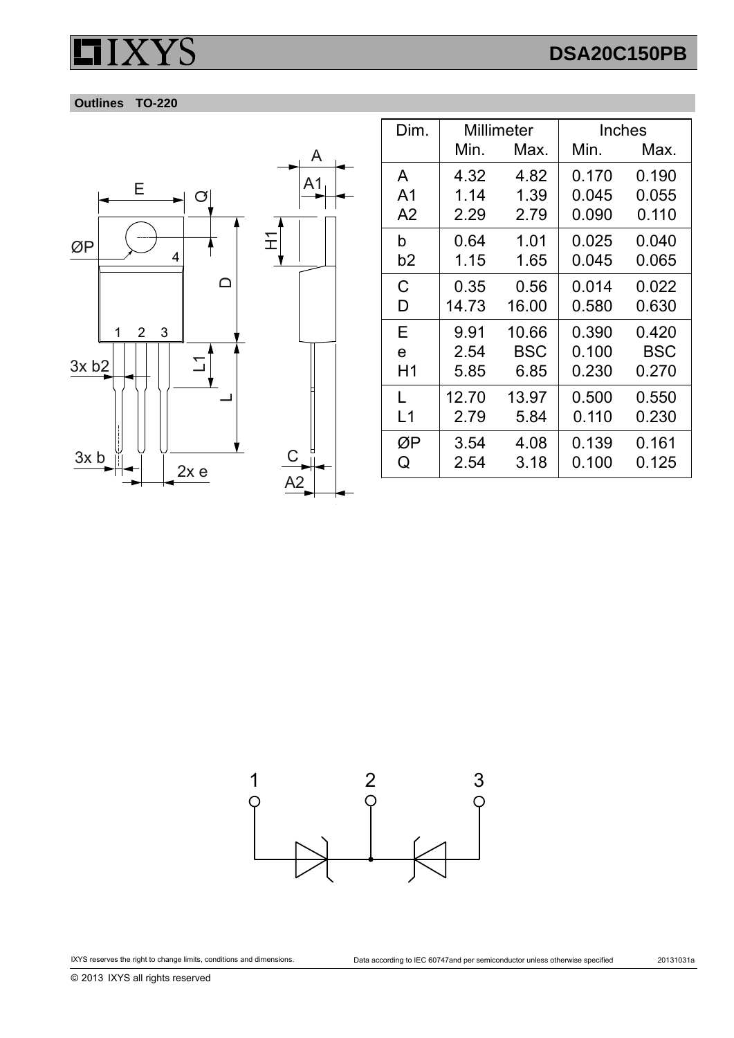# **DSA20C150PB**





| Dim.           | Millimeter |       | Inches |            |
|----------------|------------|-------|--------|------------|
|                | Min.       | Max.  | Min.   | Max.       |
| A              | 4.32       | 4.82  | 0.170  | 0.190      |
| A <sub>1</sub> | 1.14       | 1.39  | 0.045  | 0.055      |
| A <sub>2</sub> | 2.29       | 2.79  | 0.090  | 0.110      |
| b              | 0.64       | 1.01  | 0.025  | 0.040      |
| b2             | 1.15       | 1.65  | 0.045  | 0.065      |
| С              | 0.35       | 0.56  | 0.014  | 0.022      |
| D              | 14.73      | 16.00 | 0.580  | 0.630      |
| Е              | 9.91       | 10.66 | 0.390  | 0.420      |
| e              | 2.54       | BSC   | 0.100  | <b>BSC</b> |
| H1             | 5.85       | 6.85  | 0.230  | 0.270      |
| L              | 12.70      | 13.97 | 0.500  | 0.550      |
| L1             | 2.79       | 5.84  | 0.110  | 0.230      |
| ØΡ             | 3.54       | 4.08  | 0.139  | 0.161      |
| Q              | 2.54       | 3.18  | 0.100  | 0.125      |



© 2013 IXYS all rights reserved